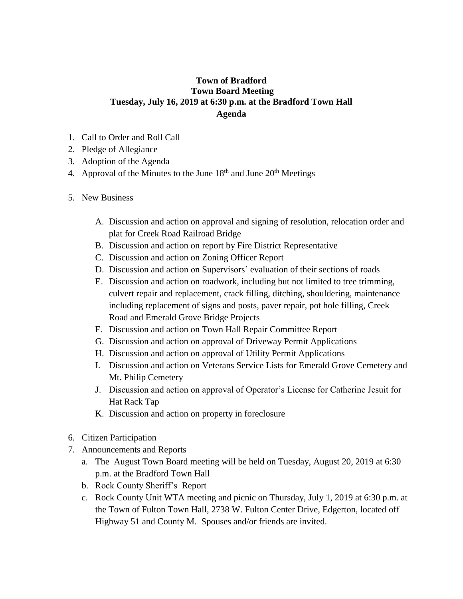## **Town of Bradford Town Board Meeting Tuesday, July 16, 2019 at 6:30 p.m. at the Bradford Town Hall Agenda**

- 1. Call to Order and Roll Call
- 2. Pledge of Allegiance
- 3. Adoption of the Agenda
- 4. Approval of the Minutes to the June  $18<sup>th</sup>$  and June  $20<sup>th</sup>$  Meetings
- 5. New Business
	- A. Discussion and action on approval and signing of resolution, relocation order and plat for Creek Road Railroad Bridge
	- B. Discussion and action on report by Fire District Representative
	- C. Discussion and action on Zoning Officer Report
	- D. Discussion and action on Supervisors' evaluation of their sections of roads
	- E. Discussion and action on roadwork, including but not limited to tree trimming, culvert repair and replacement, crack filling, ditching, shouldering, maintenance including replacement of signs and posts, paver repair, pot hole filling, Creek Road and Emerald Grove Bridge Projects
	- F. Discussion and action on Town Hall Repair Committee Report
	- G. Discussion and action on approval of Driveway Permit Applications
	- H. Discussion and action on approval of Utility Permit Applications
	- I. Discussion and action on Veterans Service Lists for Emerald Grove Cemetery and Mt. Philip Cemetery
	- J. Discussion and action on approval of Operator's License for Catherine Jesuit for Hat Rack Tap
	- K. Discussion and action on property in foreclosure
- 6. Citizen Participation
- 7. Announcements and Reports
	- a. The August Town Board meeting will be held on Tuesday, August 20, 2019 at 6:30 p.m. at the Bradford Town Hall
	- b. Rock County Sheriff's Report
	- c. Rock County Unit WTA meeting and picnic on Thursday, July 1, 2019 at 6:30 p.m. at the Town of Fulton Town Hall, 2738 W. Fulton Center Drive, Edgerton, located off Highway 51 and County M. Spouses and/or friends are invited.